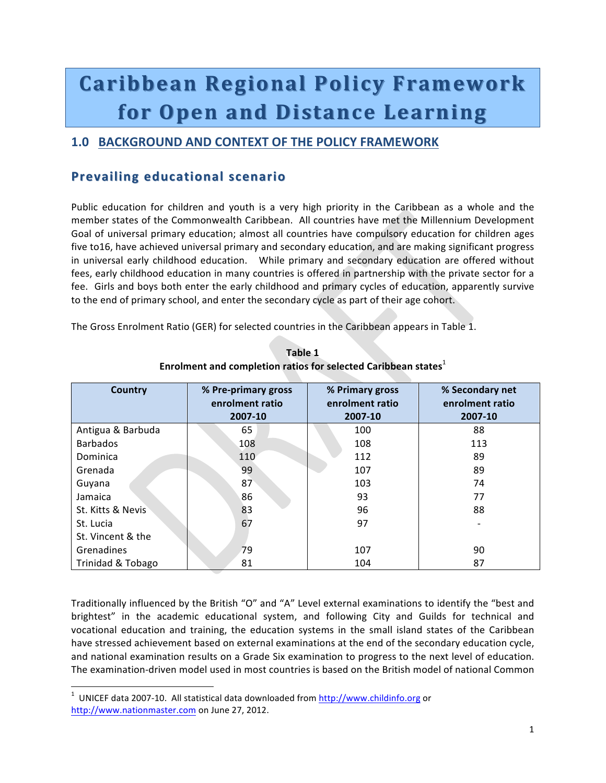# **Caribbean( Caribbean(Regional(Policy(Framework Regional(Policy(Framework for Open and Distance Learning**

### **1.0 BACKGROUND AND CONTEXT OF THE POLICY FRAMEWORK**

## **Prevailing educational scenario**

Public education for children and youth is a very high priority in the Caribbean as a whole and the member states of the Commonwealth Caribbean. All countries have met the Millennium Development Goal of universal primary education; almost all countries have compulsory education for children ages five to16, have achieved universal primary and secondary education, and are making significant progress in universal early childhood education. While primary and secondary education are offered without fees, early childhood education in many countries is offered in partnership with the private sector for a fee. Girls and boys both enter the early childhood and primary cycles of education, apparently survive to the end of primary school, and enter the secondary cycle as part of their age cohort.

The Gross Enrolment Ratio (GER) for selected countries in the Caribbean appears in Table 1.

| <b>Country</b>    | % Pre-primary gross<br>enrolment ratio<br>2007-10 | % Primary gross<br>enrolment ratio<br>2007-10 | % Secondary net<br>enrolment ratio<br>2007-10 |
|-------------------|---------------------------------------------------|-----------------------------------------------|-----------------------------------------------|
| Antigua & Barbuda | 65                                                | 100                                           | 88                                            |
| <b>Barbados</b>   | 108                                               | 108                                           | 113                                           |
| Dominica          | 110                                               | 112                                           | 89                                            |
| Grenada           | 99                                                | 107                                           | 89                                            |
| Guyana            | 87                                                | 103                                           | 74                                            |
| Jamaica           | 86                                                | 93                                            | 77                                            |
| St. Kitts & Nevis | 83                                                | 96                                            | 88                                            |
| St. Lucia         | 67                                                | 97                                            |                                               |
| St. Vincent & the |                                                   |                                               |                                               |
| Grenadines        | 79                                                | 107                                           | 90                                            |
| Trinidad & Tobago | 81                                                | 104                                           | 87                                            |

**Table\$1 Enrolment and completion ratios for selected Caribbean states<sup>1</sup>** 

Traditionally influenced by the British "O" and "A" Level external examinations to identify the "best and brightest" in the academic educational system, and following City and Guilds for technical and vocational education and training, the education systems in the small island states of the Caribbean have stressed achievement based on external examinations at the end of the secondary education cycle, and national examination results on a Grade Six examination to progress to the next level of education. The examination-driven model used in most countries is based on the British model of national Common

!!!!!!!!!!!!!!!!!!!!!!!!!!!!!!!!!!!!!!!!!!!!!!!!!!!!!!!!!!!!

 $1$  UNICEF data 2007-10. All statistical data downloaded from http://www.childinfo.org or http://www.nationmaster.com on June 27, 2012.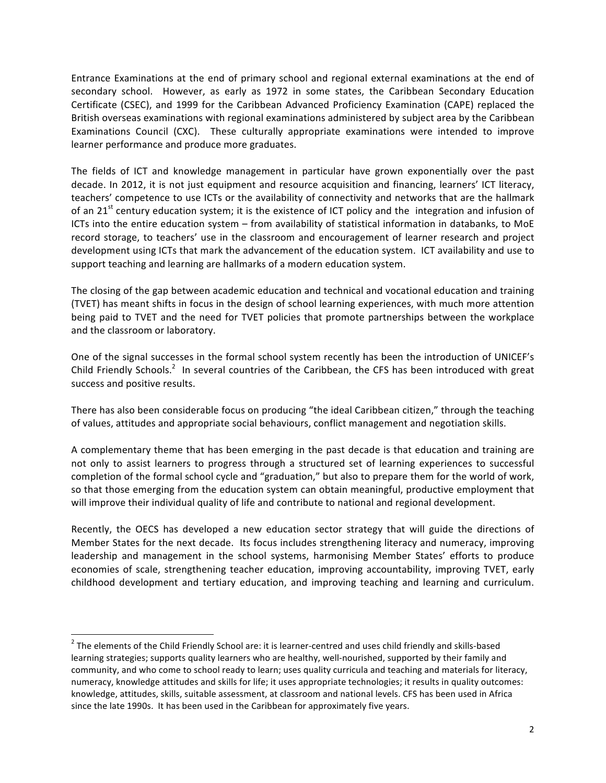Entrance Examinations at the end of primary school and regional external examinations at the end of secondary school. However, as early as 1972 in some states, the Caribbean Secondary Education Certificate (CSEC), and 1999 for the Caribbean Advanced Proficiency Examination (CAPE) replaced the British overseas examinations with regional examinations administered by subject area by the Caribbean Examinations Council (CXC). These culturally appropriate examinations were intended to improve learner performance and produce more graduates.

The fields of ICT and knowledge management in particular have grown exponentially over the past decade. In 2012, it is not just equipment and resource acquisition and financing, learners' ICT literacy, teachers' competence to use ICTs or the availability of connectivity and networks that are the hallmark of an 21<sup>st</sup> century education system; it is the existence of ICT policy and the integration and infusion of ICTs into the entire education system – from availability of statistical information in databanks, to MoE record storage, to teachers' use in the classroom and encouragement of learner research and project development using ICTs that mark the advancement of the education system. ICT availability and use to support teaching and learning are hallmarks of a modern education system.

The closing of the gap between academic education and technical and vocational education and training (TVET) has meant shifts in focus in the design of school learning experiences, with much more attention being paid to TVET and the need for TVET policies that promote partnerships between the workplace and the classroom or laboratory.

One of the signal successes in the formal school system recently has been the introduction of UNICEF's Child Friendly Schools.<sup>2</sup> In several countries of the Caribbean, the CFS has been introduced with great success and positive results.

There has also been considerable focus on producing "the ideal Caribbean citizen," through the teaching of values, attitudes and appropriate social behaviours, conflict management and negotiation skills.

A complementary theme that has been emerging in the past decade is that education and training are not only to assist learners to progress through a structured set of learning experiences to successful completion of the formal school cycle and "graduation," but also to prepare them for the world of work, so that those emerging from the education system can obtain meaningful, productive employment that will improve their individual quality of life and contribute to national and regional development.

Recently, the OECS has developed a new education sector strategy that will guide the directions of Member States for the next decade. Its focus includes strengthening literacy and numeracy, improving leadership and management in the school systems, harmonising Member States' efforts to produce economies of scale, strengthening teacher education, improving accountability, improving TVET, early childhood development and tertiary education, and improving teaching and learning and curriculum.

!!!!!!!!!!!!!!!!!!!!!!!!!!!!!!!!!!!!!!!!!!!!!!!!!!!!!!!!!!!!

 $2$  The elements of the Child Friendly School are: it is learner-centred and uses child friendly and skills-based learning strategies; supports quality learners who are healthy, well-nourished, supported by their family and community, and who come to school ready to learn; uses quality curricula and teaching and materials for literacy, numeracy, knowledge attitudes and skills for life; it uses appropriate technologies; it results in quality outcomes: knowledge, attitudes, skills, suitable assessment, at classroom and national levels. CFS has been used in Africa since the late 1990s. It has been used in the Caribbean for approximately five years.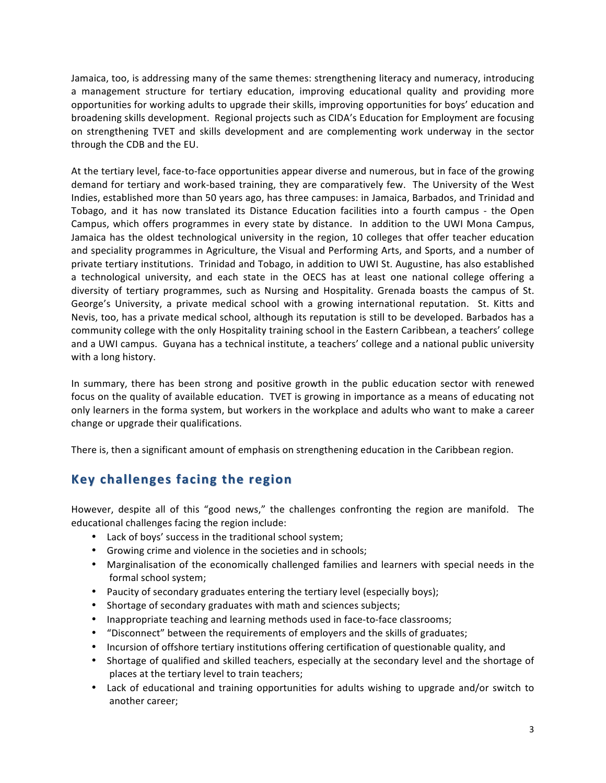Jamaica, too, is addressing many of the same themes: strengthening literacy and numeracy, introducing a management structure for tertiary education, improving educational quality and providing more opportunities for working adults to upgrade their skills, improving opportunities for boys' education and broadening skills development. Regional projects such as CIDA's Education for Employment are focusing on strengthening TVET and skills development and are complementing work underway in the sector through the CDB and the EU.

At the tertiary level, face-to-face opportunities appear diverse and numerous, but in face of the growing demand for tertiary and work-based training, they are comparatively few. The University of the West Indies, established more than 50 years ago, has three campuses: in Jamaica, Barbados, and Trinidad and Tobago, and it has now translated its Distance Education facilities into a fourth campus - the Open Campus, which offers programmes in every state by distance. In addition to the UWI Mona Campus, Jamaica has the oldest technological university in the region, 10 colleges that offer teacher education and speciality programmes in Agriculture, the Visual and Performing Arts, and Sports, and a number of private tertiary institutions. Trinidad and Tobago, in addition to UWI St. Augustine, has also established a technological university, and each state in the OECS has at least one national college offering a diversity of tertiary programmes, such as Nursing and Hospitality. Grenada boasts the campus of St. George's University, a private medical school with a growing international reputation. St. Kitts and Nevis, too, has a private medical school, although its reputation is still to be developed. Barbados has a community college with the only Hospitality training school in the Eastern Caribbean, a teachers' college and a UWI campus. Guyana has a technical institute, a teachers' college and a national public university with a long history.

In summary, there has been strong and positive growth in the public education sector with renewed focus on the quality of available education. TVET is growing in importance as a means of educating not only learners in the forma system, but workers in the workplace and adults who want to make a career change or upgrade their qualifications.

There is, then a significant amount of emphasis on strengthening education in the Caribbean region.

# **Key challenges facing the region**

However, despite all of this "good news," the challenges confronting the region are manifold. The educational challenges facing the region include:

- Lack of boys' success in the traditional school system;
- Growing crime and violence in the societies and in schools;
- Marginalisation of the economically challenged families and learners with special needs in the formal school system;
- Paucity of secondary graduates entering the tertiary level (especially boys);
- Shortage of secondary graduates with math and sciences subjects;
- Inappropriate teaching and learning methods used in face-to-face classrooms;
- "Disconnect" between the requirements of employers and the skills of graduates;
- Incursion of offshore tertiary institutions offering certification of questionable quality, and
- Shortage of qualified and skilled teachers, especially at the secondary level and the shortage of places at the tertiary level to train teachers;
- Lack of educational and training opportunities for adults wishing to upgrade and/or switch to another career;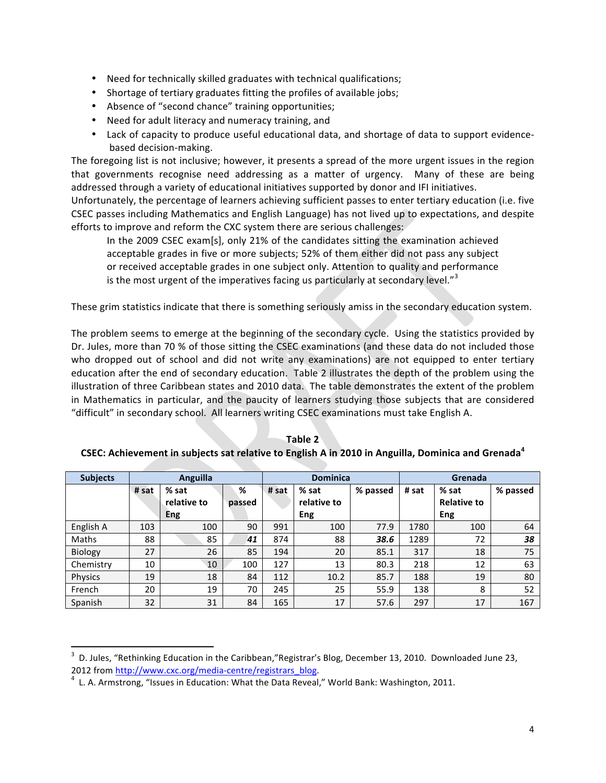- Need for technically skilled graduates with technical qualifications;
- Shortage of tertiary graduates fitting the profiles of available jobs;
- Absence of "second chance" training opportunities;
- Need for adult literacy and numeracy training, and
- Lack of capacity to produce useful educational data, and shortage of data to support evidencebased decision-making.

The foregoing list is not inclusive; however, it presents a spread of the more urgent issues in the region that governments recognise need addressing as a matter of urgency. Many of these are being addressed through a variety of educational initiatives supported by donor and IFI initiatives.

Unfortunately, the percentage of learners achieving sufficient passes to enter tertiary education (i.e. five CSEC passes including Mathematics and English Language) has not lived up to expectations, and despite efforts to improve and reform the CXC system there are serious challenges:

In the 2009 CSEC exam[s], only 21% of the candidates sitting the examination achieved acceptable grades in five or more subjects; 52% of them either did not pass any subject or received acceptable grades in one subject only. Attention to quality and performance is the most urgent of the imperatives facing us particularly at secondary level." $3$ 

These grim statistics indicate that there is something seriously amiss in the secondary education system.

The problem seems to emerge at the beginning of the secondary cycle. Using the statistics provided by Dr. Jules, more than 70 % of those sitting the CSEC examinations (and these data do not included those who dropped out of school and did not write any examinations) are not equipped to enter tertiary education after the end of secondary education. Table 2 illustrates the depth of the problem using the illustration of three Caribbean states and 2010 data. The table demonstrates the extent of the problem in Mathematics in particular, and the paucity of learners studying those subjects that are considered "difficult" in secondary school. All learners writing CSEC examinations must take English A.

| <b>Subjects</b> | Anguilla |             |        | <b>Dominica</b> |             |          | Grenada |                    |          |
|-----------------|----------|-------------|--------|-----------------|-------------|----------|---------|--------------------|----------|
|                 | # sat    | % sat       | %      | # sat           | % sat       | % passed | # sat   | % sat              | % passed |
|                 |          | relative to | passed |                 | relative to |          |         | <b>Relative to</b> |          |
|                 |          | Eng         |        |                 | Eng         |          |         | Eng                |          |
| English A       | 103      | 100         | 90     | 991             | 100         | 77.9     | 1780    | 100                | 64       |
| Maths           | 88       | 85          | 41     | 874             | 88          | 38.6     | 1289    | 72                 | 38       |
| Biology         | 27       | 26          | 85     | 194             | 20          | 85.1     | 317     | 18                 | 75       |
| Chemistry       | 10       | 10          | 100    | 127             | 13          | 80.3     | 218     | 12                 | 63       |
| Physics         | 19       | 18          | 84     | 112             | 10.2        | 85.7     | 188     | 19                 | 80       |
| French          | 20       | 19          | 70     | 245             | 25          | 55.9     | 138     | 8                  | 52       |
| Spanish         | 32       | 31          | 84     | 165             | 17          | 57.6     | 297     | 17                 | 167      |

**Table 2** 

#### **CSEC:** Achievement in subjects sat relative to English A in 2010 in Anguilla, Dominica and Grenada<sup>4</sup>

!!!!!!!!!!!!!!!!!!!!!!!!!!!!!!!!!!!!!!!!!!!!!!!!!!!!!!!!!!!!

 $^3$  D. Jules, "Rethinking Education in the Caribbean,"Registrar's Blog, December 13, 2010. Downloaded June 23, 2012 from http://www.cxc.org/media-centre/registrars\_blog.<br><sup>4</sup> L. A. Armstrong, "Issues in Education: What the Data Reveal," World Bank: Washington, 2011.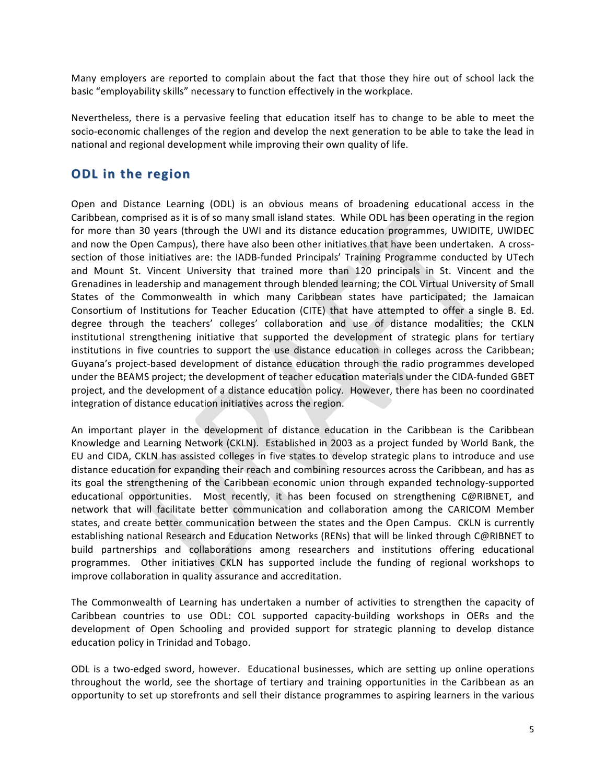Many employers are reported to complain about the fact that those they hire out of school lack the basic "employability skills" necessary to function effectively in the workplace.

Nevertheless, there is a pervasive feeling that education itself has to change to be able to meet the socio-economic challenges of the region and develop the next generation to be able to take the lead in national and regional development while improving their own quality of life.

### **ODL** in the region

Open and Distance Learning (ODL) is an obvious means of broadening educational access in the Caribbean, comprised as it is of so many small island states. While ODL has been operating in the region for more than 30 years (through the UWI and its distance education programmes, UWIDITE, UWIDEC and now the Open Campus), there have also been other initiatives that have been undertaken. A crosssection of those initiatives are: the IADB-funded Principals' Training Programme conducted by UTech and Mount St. Vincent University that trained more than 120 principals in St. Vincent and the Grenadines in leadership and management through blended learning; the COL Virtual University of Small States of the Commonwealth in which many Caribbean states have participated; the Jamaican Consortium of Institutions for Teacher Education (CITE) that have attempted to offer a single B. Ed. degree through the teachers' colleges' collaboration and use of distance modalities; the CKLN institutional strengthening initiative that supported the development of strategic plans for tertiary institutions in five countries to support the use distance education in colleges across the Caribbean; Guyana's project-based development of distance education through the radio programmes developed under the BEAMS project; the development of teacher education materials under the CIDA-funded GBET project, and the development of a distance education policy. However, there has been no coordinated integration of distance education initiatives across the region.

An important player in the development of distance education in the Caribbean is the Caribbean Knowledge and Learning Network (CKLN). Established in 2003 as a project funded by World Bank, the EU and CIDA, CKLN has assisted colleges in five states to develop strategic plans to introduce and use distance education for expanding their reach and combining resources across the Caribbean, and has as its goal the strengthening of the Caribbean economic union through expanded technology-supported educational opportunities. Most recently, it has been focused on strengthening C@RIBNET, and network that will facilitate better communication and collaboration among the CARICOM Member states, and create better communication between the states and the Open Campus. CKLN is currently establishing national Research and Education Networks (RENs) that will be linked through C@RIBNET to build partnerships and collaborations among researchers and institutions offering educational programmes. Other initiatives CKLN has supported include the funding of regional workshops to improve collaboration in quality assurance and accreditation.

The Commonwealth of Learning has undertaken a number of activities to strengthen the capacity of Caribbean countries to use ODL: COL supported capacity-building workshops in OERs and the development of Open Schooling and provided support for strategic planning to develop distance education policy in Trinidad and Tobago.

ODL is a two-edged sword, however. Educational businesses, which are setting up online operations throughout the world, see the shortage of tertiary and training opportunities in the Caribbean as an opportunity to set up storefronts and sell their distance programmes to aspiring learners in the various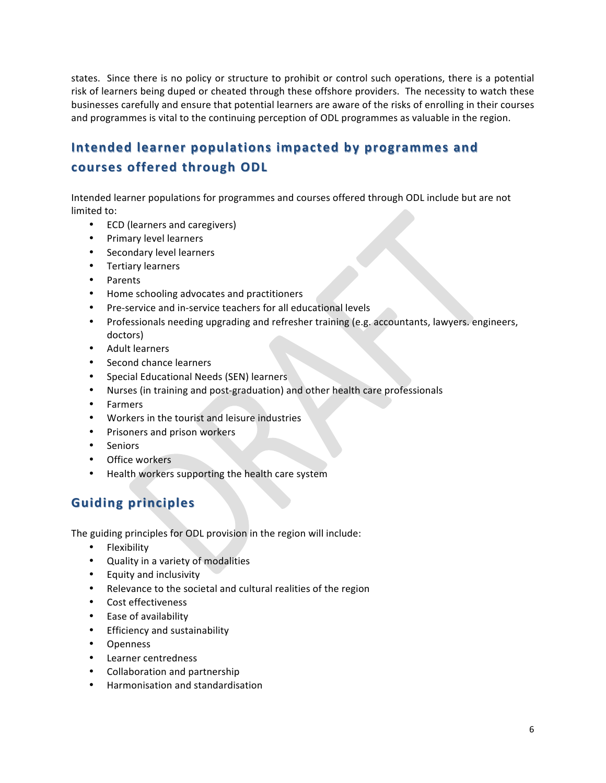states. Since there is no policy or structure to prohibit or control such operations, there is a potential risk of learners being duped or cheated through these offshore providers. The necessity to watch these businesses carefully and ensure that potential learners are aware of the risks of enrolling in their courses and programmes is vital to the continuing perception of ODL programmes as valuable in the region.

# **Intended learner populations impacted by programmes and courses\$offered\$through\$ODL courses\$offered\$through\$ODL**

Intended learner populations for programmes and courses offered through ODL include but are not limited to:

- ECD (learners and caregivers)
- Primary level learners
- Secondary level learners
- Tertiary learners
- Parents!
- Home schooling advocates and practitioners
- Pre-service and in-service teachers for all educational levels
- Professionals needing upgrading and refresher training (e.g. accountants, lawyers. engineers, doctors)
- Adult learners
- Second chance learners
- Special Educational Needs (SEN) learners
- Nurses (in training and post-graduation) and other health care professionals
- Farmers
- Workers in the tourist and leisure industries
- Prisoners and prison workers
- Seniors
- Office workers
- Health workers supporting the health care system

# **Guiding\$principles Guiding\$principles**

The guiding principles for ODL provision in the region will include:

- Flexibility
- Quality in a variety of modalities
- Equity and inclusivity
- Relevance to the societal and cultural realities of the region
- Cost effectiveness
- Ease of availability
- Efficiency and sustainability
- Openness
- Learner centredness
- Collaboration and partnership
- Harmonisation and standardisation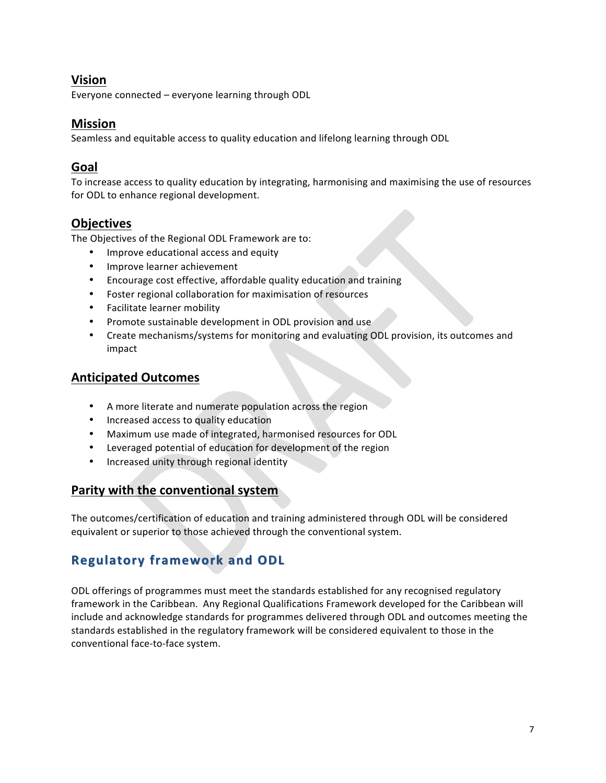### **Vision**

Everyone connected – everyone learning through ODL

### **Mission**

Seamless and equitable access to quality education and lifelong learning through ODL

### **Goal**

To increase access to quality education by integrating, harmonising and maximising the use of resources for ODL to enhance regional development.

### **Objectives**

The Objectives of the Regional ODL Framework are to:

- Improve educational access and equity
- Improve learner achievement
- Encourage cost effective, affordable quality education and training
- Foster regional collaboration for maximisation of resources
- Facilitate learner mobility
- Promote sustainable development in ODL provision and use
- Create mechanisms/systems for monitoring and evaluating ODL provision, its outcomes and impact

### **Anticipated\$Outcomes**

- A more literate and numerate population across the region
- Increased access to quality education
- Maximum use made of integrated, harmonised resources for ODL
- Leveraged potential of education for development of the region
- Increased unity through regional identity

### **Parity with the conventional system**

The outcomes/certification of education and training administered through ODL will be considered equivalent or superior to those achieved through the conventional system.

# **Regulatory framework and ODL**

ODL offerings of programmes must meet the standards established for any recognised regulatory framework in the Caribbean. Any Regional Qualifications Framework developed for the Caribbean will include and acknowledge standards for programmes delivered through ODL and outcomes meeting the standards established in the regulatory framework will be considered equivalent to those in the conventional face-to-face system.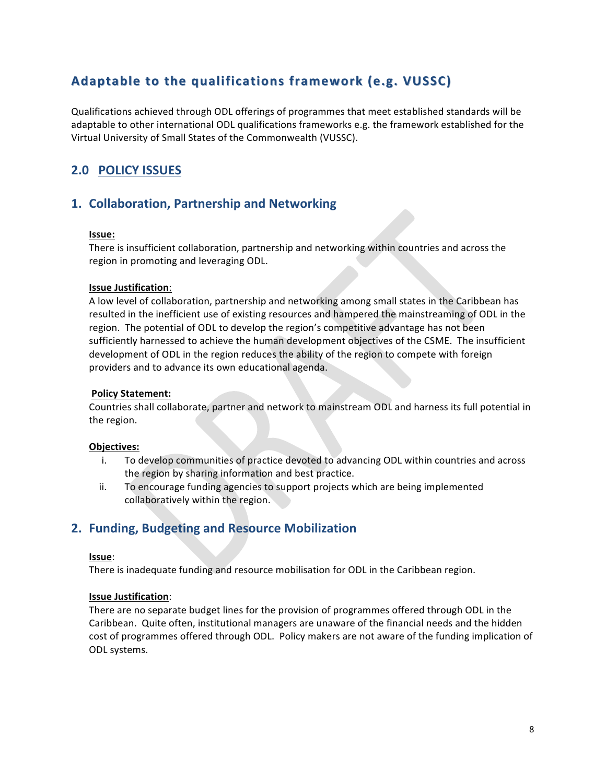# Adaptable to the qualifications framework (e.g. VUSSC)

Qualifications achieved through ODL offerings of programmes that meet established standards will be adaptable to other international ODL qualifications frameworks e.g. the framework established for the Virtual University of Small States of the Commonwealth (VUSSC).

### **2.0 POLICY ISSUES**

### **1. Collaboration, Partnership and Networking**

#### **Issue:\$\$**

There is insufficient collaboration, partnership and networking within countries and across the region in promoting and leveraging ODL.

#### **Issue Justification:**

A low level of collaboration, partnership and networking among small states in the Caribbean has resulted in the inefficient use of existing resources and hampered the mainstreaming of ODL in the region. The potential of ODL to develop the region's competitive advantage has not been sufficiently harnessed to achieve the human development objectives of the CSME. The insufficient development of ODL in the region reduces the ability of the region to compete with foreign providers and to advance its own educational agenda.

#### **Policy Statement:**

Countries shall collaborate, partner and network to mainstream ODL and harness its full potential in the region.

#### **Objectives:**

- i. To develop communities of practice devoted to advancing ODL within countries and across the region by sharing information and best practice.
- ii. To encourage funding agencies to support projects which are being implemented collaboratively within the region.

### **2. Funding, Budgeting and Resource Mobilization**

#### **Issue**:

There is inadequate funding and resource mobilisation for ODL in the Caribbean region.

#### **Issue Justification:**

There are no separate budget lines for the provision of programmes offered through ODL in the Caribbean. Quite often, institutional managers are unaware of the financial needs and the hidden cost of programmes offered through ODL. Policy makers are not aware of the funding implication of ODL systems.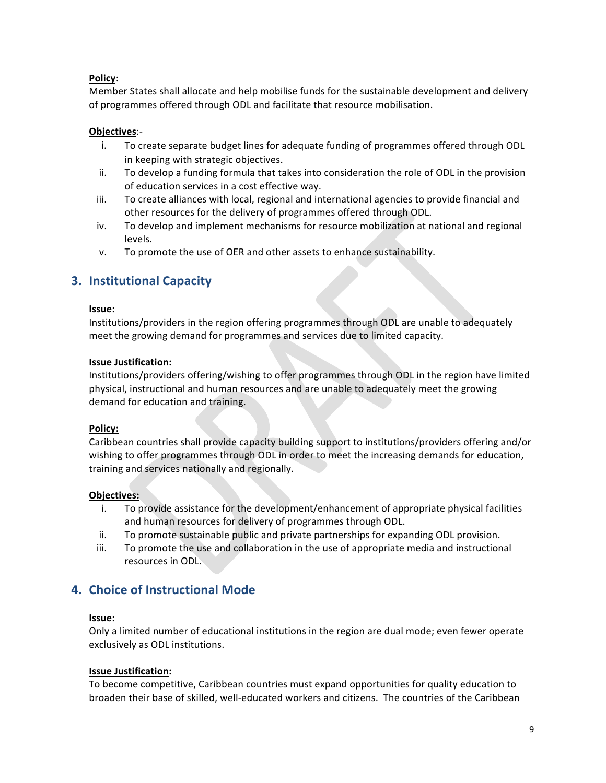#### **Policy:**

Member States shall allocate and help mobilise funds for the sustainable development and delivery of programmes offered through ODL and facilitate that resource mobilisation.

#### **Objectives:-**

- i. To create separate budget lines for adequate funding of programmes offered through ODL in keeping with strategic objectives.
- ii. To develop a funding formula that takes into consideration the role of ODL in the provision of education services in a cost effective way.
- iii. To create alliances with local, regional and international agencies to provide financial and other resources for the delivery of programmes offered through ODL.
- iv. To develop and implement mechanisms for resource mobilization at national and regional levels.
- v. To promote the use of OER and other assets to enhance sustainability.

### **3. Institutional Capacity**

#### **Issue:\$**

Institutions/providers in the region offering programmes through ODL are unable to adequately meet the growing demand for programmes and services due to limited capacity.

#### **Issue Justification:**

Institutions/providers offering/wishing to offer programmes through ODL in the region have limited physical, instructional and human resources and are unable to adequately meet the growing demand for education and training.

#### **Policy:**

Caribbean countries shall provide capacity building support to institutions/providers offering and/or wishing to offer programmes through ODL in order to meet the increasing demands for education, training and services nationally and regionally.

#### **Objectives:**

- i. To provide assistance for the development/enhancement of appropriate physical facilities and human resources for delivery of programmes through ODL.
- ii. To promote sustainable public and private partnerships for expanding ODL provision.
- iii. To promote the use and collaboration in the use of appropriate media and instructional resources in ODL.

### **4. Choice of Instructional Mode**

#### **Issue:\$**

Only a limited number of educational institutions in the region are dual mode; even fewer operate exclusively as ODL institutions.

#### **Issue Justification:**

To become competitive, Caribbean countries must expand opportunities for quality education to broaden their base of skilled, well-educated workers and citizens. The countries of the Caribbean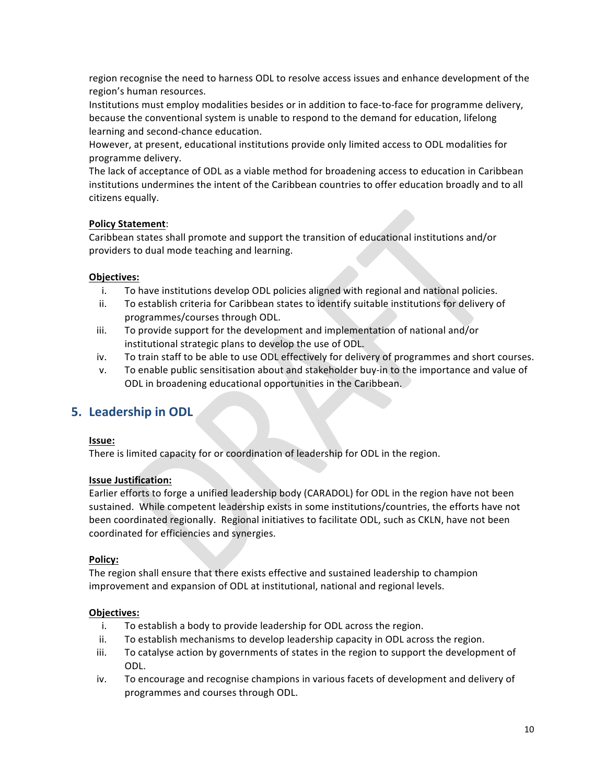region recognise the need to harness ODL to resolve access issues and enhance development of the region's human resources.

Institutions must employ modalities besides or in addition to face-to-face for programme delivery, because the conventional system is unable to respond to the demand for education, lifelong learning and second-chance education.

However, at present, educational institutions provide only limited access to ODL modalities for programme delivery.

The lack of acceptance of ODL as a viable method for broadening access to education in Caribbean institutions undermines the intent of the Caribbean countries to offer education broadly and to all citizens equally.

#### **Policy Statement:**

Caribbean states shall promote and support the transition of educational institutions and/or providers to dual mode teaching and learning.

#### **Objectives:**

- i. To have institutions develop ODL policies aligned with regional and national policies.
- ii. To establish criteria for Caribbean states to identify suitable institutions for delivery of programmes/courses through ODL.
- iii. To provide support for the development and implementation of national and/or institutional strategic plans to develop the use of ODL.
- iv. To train staff to be able to use ODL effectively for delivery of programmes and short courses.
- v. To enable public sensitisation about and stakeholder buy-in to the importance and value of ODL in broadening educational opportunities in the Caribbean.

### **5.** Leadership in ODL

#### **Issue:\$**

There is limited capacity for or coordination of leadership for ODL in the region.

#### **Issue Justification:**

Earlier efforts to forge a unified leadership body (CARADOL) for ODL in the region have not been sustained. While competent leadership exists in some institutions/countries, the efforts have not been coordinated regionally. Regional initiatives to facilitate ODL, such as CKLN, have not been coordinated for efficiencies and synergies.

#### **Policy:**

The region shall ensure that there exists effective and sustained leadership to champion improvement and expansion of ODL at institutional, national and regional levels.

#### **Objectives:**

- i. To establish a body to provide leadership for ODL across the region.
- ii. To establish mechanisms to develop leadership capacity in ODL across the region.
- iii. To catalyse action by governments of states in the region to support the development of ODL.
- iv. To encourage and recognise champions in various facets of development and delivery of programmes and courses through ODL.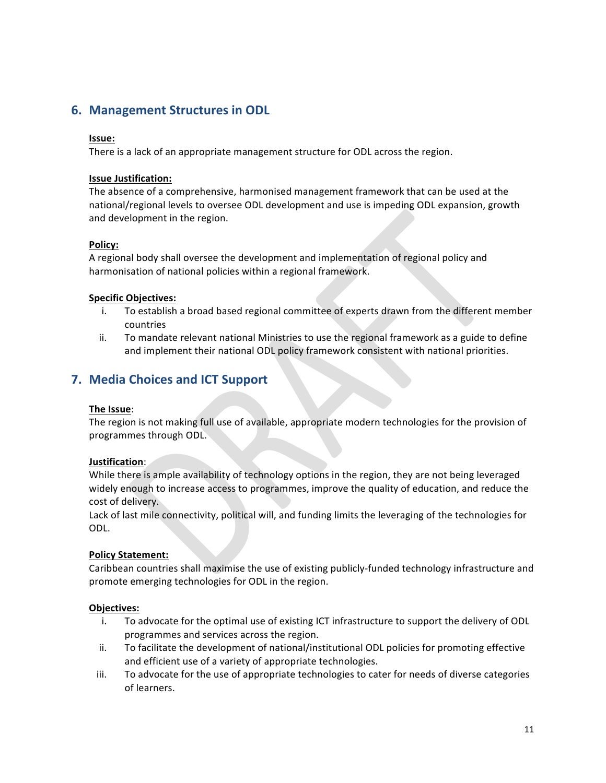### **6. Management Structures in ODL**

#### **Issue:\$\$**

There is a lack of an appropriate management structure for ODL across the region.

#### **Issue Justification:**

The absence of a comprehensive, harmonised management framework that can be used at the national/regional levels to oversee ODL development and use is impeding ODL expansion, growth and development in the region.

#### **Policy:**

A regional body shall oversee the development and implementation of regional policy and harmonisation of national policies within a regional framework.

#### **Specific Objectives:**

- i. To establish a broad based regional committee of experts drawn from the different member countries!
- ii. To mandate relevant national Ministries to use the regional framework as a guide to define and implement their national ODL policy framework consistent with national priorities.

### **7.** Media Choices and ICT Support

#### **The Issue:**

The region is not making full use of available, appropriate modern technologies for the provision of programmes through ODL.

#### **Justification:**

While there is ample availability of technology options in the region, they are not being leveraged widely enough to increase access to programmes, improve the quality of education, and reduce the cost of delivery.

Lack of last mile connectivity, political will, and funding limits the leveraging of the technologies for ODL.

#### **Policy Statement:**

Caribbean countries shall maximise the use of existing publicly-funded technology infrastructure and promote emerging technologies for ODL in the region.

#### **Objectives:**

- i. To advocate for the optimal use of existing ICT infrastructure to support the delivery of ODL programmes and services across the region.
- ii. To facilitate the development of national/institutional ODL policies for promoting effective and efficient use of a variety of appropriate technologies.
- iii. To advocate for the use of appropriate technologies to cater for needs of diverse categories of learners.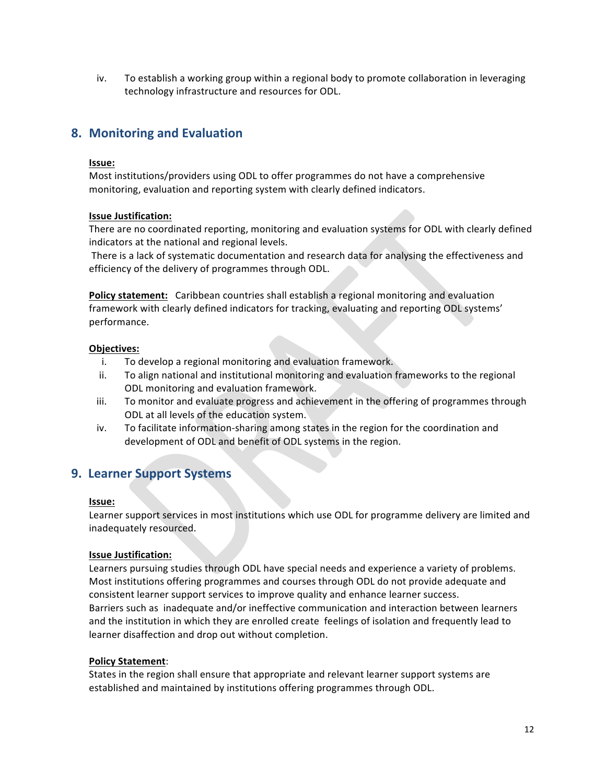iv. To establish a working group within a regional body to promote collaboration in leveraging technology infrastructure and resources for ODL.

### **8. Monitoring and Evaluation**

#### **Issue:\$**

Most institutions/providers using ODL to offer programmes do not have a comprehensive monitoring, evaluation and reporting system with clearly defined indicators.

#### **Issue Justification:**

There are no coordinated reporting, monitoring and evaluation systems for ODL with clearly defined indicators at the national and regional levels.

There is a lack of systematic documentation and research data for analysing the effectiveness and efficiency of the delivery of programmes through ODL.

**Policy statement:** Caribbean countries shall establish a regional monitoring and evaluation framework with clearly defined indicators for tracking, evaluating and reporting ODL systems' performance.

#### **Objectives:**

- i. To develop a regional monitoring and evaluation framework.
- ii. To align national and institutional monitoring and evaluation frameworks to the regional ODL monitoring and evaluation framework.
- iii. To monitor and evaluate progress and achievement in the offering of programmes through ODL at all levels of the education system.
- iv. To facilitate information-sharing among states in the region for the coordination and development of ODL and benefit of ODL systems in the region.

### **9. Learner Support Systems**

#### **Issue:\$**

Learner support services in most institutions which use ODL for programme delivery are limited and inadequately resourced.

#### **Issue Justification:**

Learners pursuing studies through ODL have special needs and experience a variety of problems. Most institutions offering programmes and courses through ODL do not provide adequate and consistent learner support services to improve quality and enhance learner success. Barriers such as inadequate and/or ineffective communication and interaction between learners and the institution in which they are enrolled create feelings of isolation and frequently lead to learner disaffection and drop out without completion.

#### **Policy Statement:**

States in the region shall ensure that appropriate and relevant learner support systems are established and maintained by institutions offering programmes through ODL.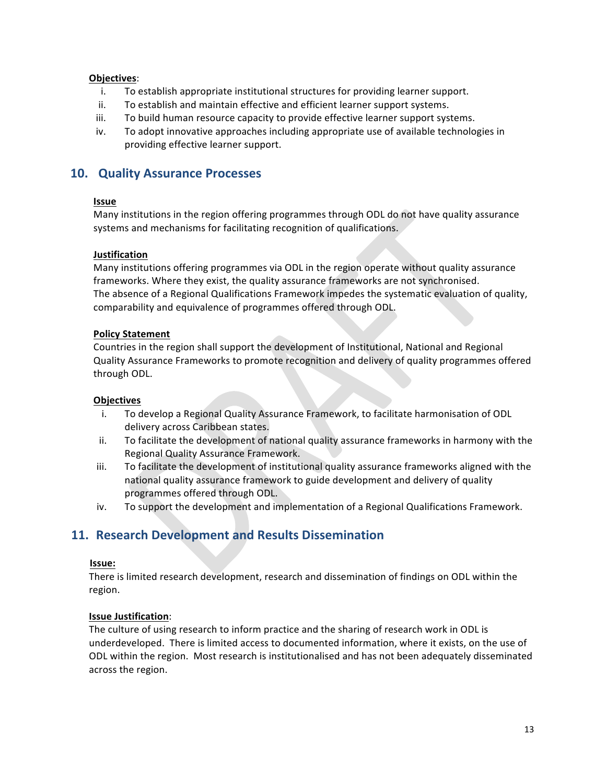#### **Objectives:**

- i. To establish appropriate institutional structures for providing learner support.
- ii. To establish and maintain effective and efficient learner support systems.
- iii. To build human resource capacity to provide effective learner support systems.
- iv. To adopt innovative approaches including appropriate use of available technologies in providing effective learner support.

### **10. Quality Assurance Processes**

#### **Issue**

Many institutions in the region offering programmes through ODL do not have quality assurance systems and mechanisms for facilitating recognition of qualifications.

#### **Justification**

Many institutions offering programmes via ODL in the region operate without quality assurance frameworks. Where they exist, the quality assurance frameworks are not synchronised. The absence of a Regional Qualifications Framework impedes the systematic evaluation of quality, comparability and equivalence of programmes offered through ODL.

#### **Policy Statement**

Countries in the region shall support the development of Institutional, National and Regional Quality Assurance Frameworks to promote recognition and delivery of quality programmes offered through ODL.

#### **Objectives**

- i. To develop a Regional Quality Assurance Framework, to facilitate harmonisation of ODL delivery across Caribbean states.
- ii. To facilitate the development of national quality assurance frameworks in harmony with the Regional Quality Assurance Framework.
- iii. To facilitate the development of institutional quality assurance frameworks aligned with the national quality assurance framework to guide development and delivery of quality programmes offered through ODL.
- iv. To support the development and implementation of a Regional Qualifications Framework.

### **11. Research Development and Results Dissemination**

#### **Issue:**!!

There is limited research development, research and dissemination of findings on ODL within the region.

#### **Issue Justification:**

The culture of using research to inform practice and the sharing of research work in ODL is underdeveloped. There is limited access to documented information, where it exists, on the use of ODL within the region. Most research is institutionalised and has not been adequately disseminated across the region.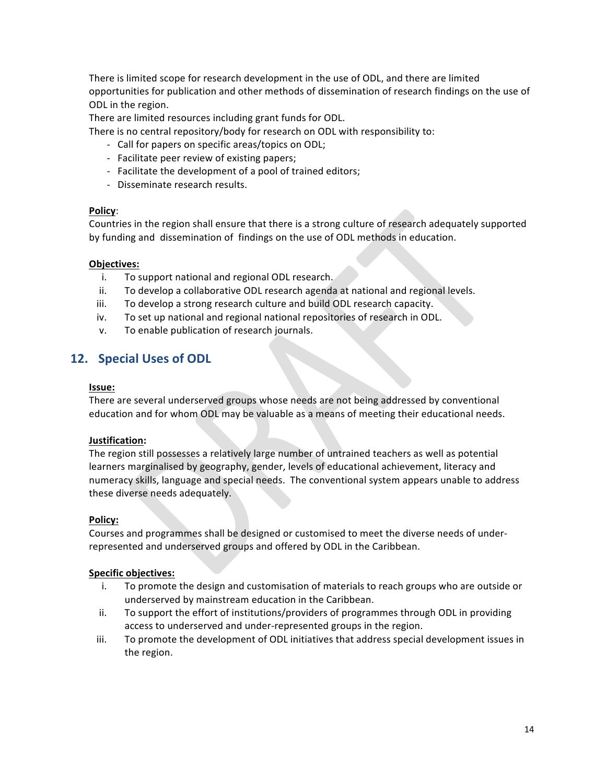There is limited scope for research development in the use of ODL, and there are limited opportunities for publication and other methods of dissemination of research findings on the use of ODL in the region.

There are limited resources including grant funds for ODL.

There is no central repository/body for research on ODL with responsibility to:

- Call for papers on specific areas/topics on ODL;
- Facilitate peer review of existing papers;
- Facilitate the development of a pool of trained editors;
- Disseminate research results.

#### **Policy:**

Countries in the region shall ensure that there is a strong culture of research adequately supported by funding and dissemination of findings on the use of ODL methods in education.

#### **Objectives:**

- i. To support national and regional ODL research.
- ii. To develop a collaborative ODL research agenda at national and regional levels.
- iii. To develop a strong research culture and build ODL research capacity.
- iv. To set up national and regional national repositories of research in ODL.
- v. To enable publication of research journals.

### **12. Special Uses of ODL**

#### **Issue:**

There are several underserved groups whose needs are not being addressed by conventional education and for whom ODL may be valuable as a means of meeting their educational needs.

#### **Justification:**

The region still possesses a relatively large number of untrained teachers as well as potential learners marginalised by geography, gender, levels of educational achievement, literacy and numeracy skills, language and special needs. The conventional system appears unable to address these diverse needs adequately.

#### **Policy:**

Courses and programmes shall be designed or customised to meet the diverse needs of underrepresented and underserved groups and offered by ODL in the Caribbean.

#### **Specific\$objectives:\$**

- i. To promote the design and customisation of materials to reach groups who are outside or underserved by mainstream education in the Caribbean.
- ii. To support the effort of institutions/providers of programmes through ODL in providing access to underserved and under-represented groups in the region.
- iii. To promote the development of ODL initiatives that address special development issues in the region.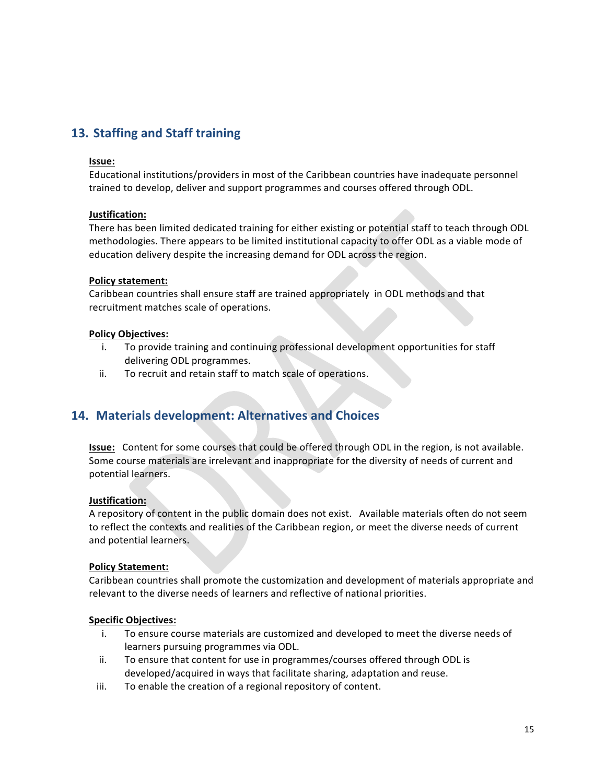### **13. Staffing and Staff training**

#### **Issue:\$**

Educational institutions/providers in most of the Caribbean countries have inadequate personnel trained to develop, deliver and support programmes and courses offered through ODL.

#### **Justification:\$**

There has been limited dedicated training for either existing or potential staff to teach through ODL methodologies. There appears to be limited institutional capacity to offer ODL as a viable mode of education delivery despite the increasing demand for ODL across the region.

#### **Policy statement:**

Caribbean countries shall ensure staff are trained appropriately in ODL methods and that recruitment matches scale of operations.

#### **Policy\$Objectives:**

- i. To provide training and continuing professional development opportunities for staff delivering ODL programmes.
- ii. To recruit and retain staff to match scale of operations.

### 14. Materials development: Alternatives and Choices

**Issue:** Content for some courses that could be offered through ODL in the region, is not available. Some course materials are irrelevant and inappropriate for the diversity of needs of current and potential learners.

#### **Justification:\$\$\$**

A repository of content in the public domain does not exist. Invailable materials often do not seem to reflect the contexts and realities of the Caribbean region, or meet the diverse needs of current and potential learners.

#### **Policy Statement:**

Caribbean countries shall promote the customization and development of materials appropriate and relevant to the diverse needs of learners and reflective of national priorities.

#### **Specific\$Objectives:**

- i. To ensure course materials are customized and developed to meet the diverse needs of learners pursuing programmes via ODL.
- ii. To ensure that content for use in programmes/courses offered through ODL is developed/acquired in ways that facilitate sharing, adaptation and reuse.
- iii. To enable the creation of a regional repository of content.